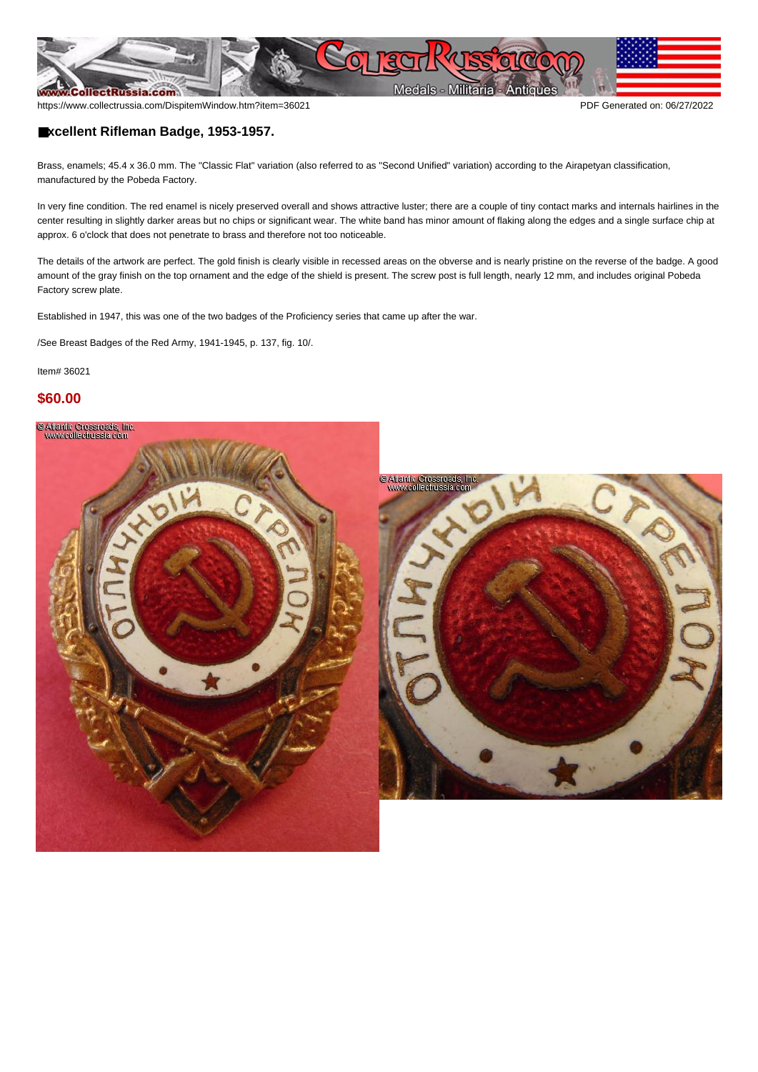

https://www.collectrussia.com/DispitemWindow.htm?item=36021 PDF Generated on: 06/27/2022

## ■**xcellent Rifleman Badge, 1953-1957.**

Brass, enamels; 45.4 x 36.0 mm. The "Classic Flat" variation (also referred to as "Second Unified" variation) according to the Airapetyan classification, manufactured by the Pobeda Factory.

In very fine condition. The red enamel is nicely preserved overall and shows attractive luster; there are a couple of tiny contact marks and internals hairlines in the center resulting in slightly darker areas but no chips or significant wear. The white band has minor amount of flaking along the edges and a single surface chip at approx. 6 o'clock that does not penetrate to brass and therefore not too noticeable.

The details of the artwork are perfect. The gold finish is clearly visible in recessed areas on the obverse and is nearly pristine on the reverse of the badge. A good amount of the gray finish on the top ornament and the edge of the shield is present. The screw post is full length, nearly 12 mm, and includes original Pobeda Factory screw plate.

Established in 1947, this was one of the two badges of the Proficiency series that came up after the war.

/See Breast Badges of the Red Army, 1941-1945, p. 137, fig. 10/.

Item# 36021

## **\$60.00**



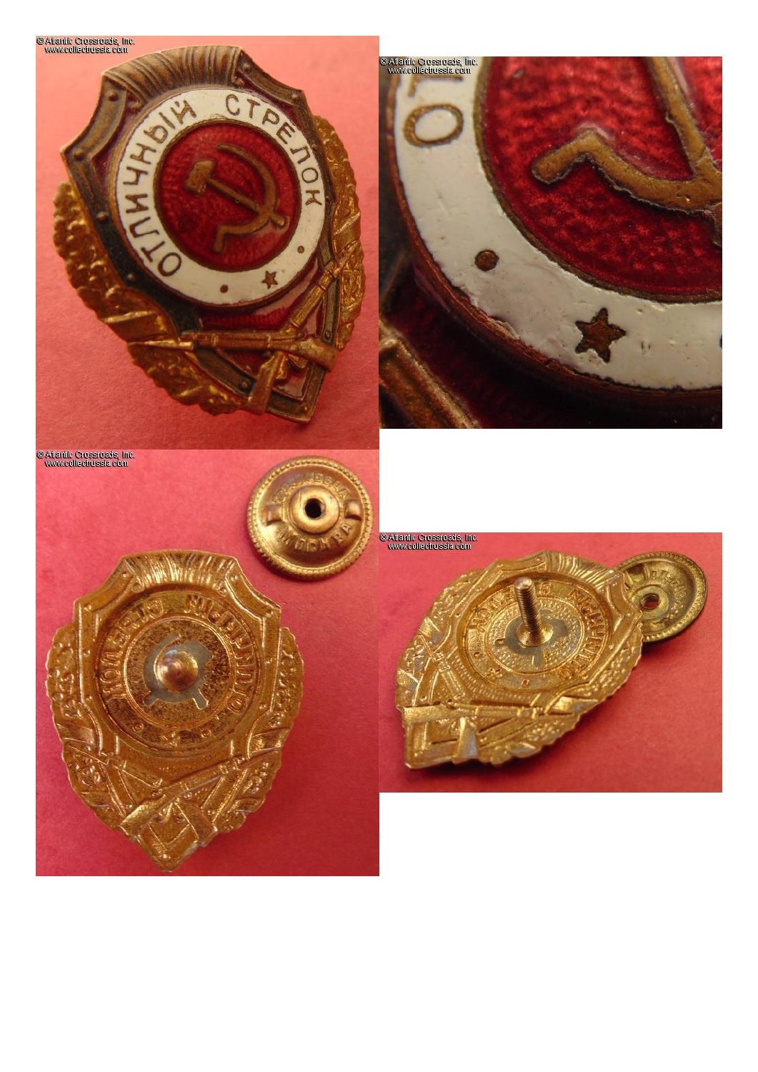